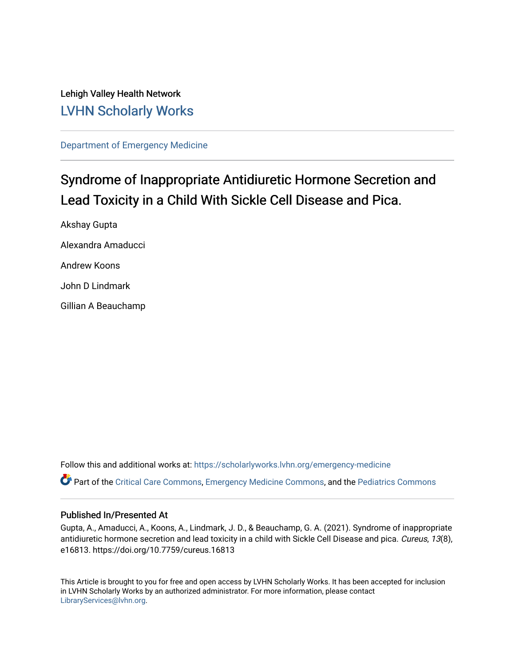Lehigh Valley Health Network [LVHN Scholarly Works](https://scholarlyworks.lvhn.org/)

[Department of Emergency Medicine](https://scholarlyworks.lvhn.org/emergency-medicine)

# Syndrome of Inappropriate Antidiuretic Hormone Secretion and Lead Toxicity in a Child With Sickle Cell Disease and Pica.

Akshay Gupta Alexandra Amaducci Andrew Koons John D Lindmark Gillian A Beauchamp

Follow this and additional works at: [https://scholarlyworks.lvhn.org/emergency-medicine](https://scholarlyworks.lvhn.org/emergency-medicine?utm_source=scholarlyworks.lvhn.org%2Femergency-medicine%2F679&utm_medium=PDF&utm_campaign=PDFCoverPages)  Part of the [Critical Care Commons,](https://network.bepress.com/hgg/discipline/1226?utm_source=scholarlyworks.lvhn.org%2Femergency-medicine%2F679&utm_medium=PDF&utm_campaign=PDFCoverPages) [Emergency Medicine Commons](https://network.bepress.com/hgg/discipline/685?utm_source=scholarlyworks.lvhn.org%2Femergency-medicine%2F679&utm_medium=PDF&utm_campaign=PDFCoverPages), and the [Pediatrics Commons](https://network.bepress.com/hgg/discipline/700?utm_source=scholarlyworks.lvhn.org%2Femergency-medicine%2F679&utm_medium=PDF&utm_campaign=PDFCoverPages) 

### Published In/Presented At

Gupta, A., Amaducci, A., Koons, A., Lindmark, J. D., & Beauchamp, G. A. (2021). Syndrome of inappropriate antidiuretic hormone secretion and lead toxicity in a child with Sickle Cell Disease and pica. Cureus, 13(8), e16813. https://doi.org/10.7759/cureus.16813

This Article is brought to you for free and open access by LVHN Scholarly Works. It has been accepted for inclusion in LVHN Scholarly Works by an authorized administrator. For more information, please contact [LibraryServices@lvhn.org](mailto:LibraryServices@lvhn.org).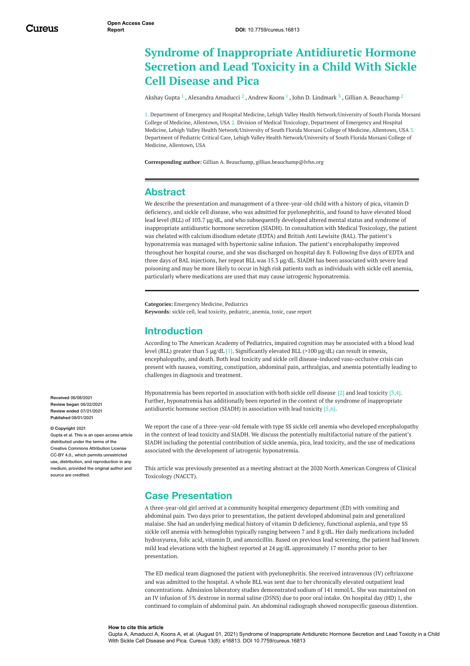## **Syndrome of Inappropriate Antidiuretic Hormone Secretion and Lead Toxicity in a Child With Sickle Cell Disease and Pica**

[Akshay](https://www.cureus.com/users/106350-akshay-gupta) Gupta  $^1$  , [Alexandra](https://www.cureus.com/users/253704-alexandra-amaducci) Amaducci  $^2$  , [Andrew](https://www.cureus.com/users/207481-andrew-koons) Koons  $^1$  , John D. [Lindmark](https://www.cureus.com/users/253705-john-lindmark)  $^3$  , Gillian A. [Beauchamp](https://www.cureus.com/users/251903-gillian-a-beauchamp)  $^2$ 

1. Department of Emergency and Hospital Medicine, Lehigh Valley Health Network/University of South Florida Morsani College of Medicine, Allentown, USA 2. Division of Medical Toxicology, Department of Emergency and Hospital Medicine, Lehigh Valley Health Network/University of South Florida Morsani College of Medicine, Allentown, USA 3. Department of Pediatric Critical Care, Lehigh Valley Health Network/University of South Florida Morsani College of Medicine, Allentown, USA

**Corresponding author:** Gillian A. Beauchamp, gillian.beauchamp@lvhn.org

### **Abstract**

We describe the presentation and management of a three-year-old child with a history of pica, vitamin D deficiency, and sickle cell disease, who was admitted for pyelonephritis, and found to have elevated blood lead level (BLL) of 103.7 µg/dL, and who subsequently developed altered mental status and syndrome of inappropriate antidiuretic hormone secretion (SIADH). In consultation with Medical Toxicology, the patient was chelated with calcium disodium edetate (EDTA) and British Anti Lewisite (BAL). The patient's hyponatremia was managed with hypertonic saline infusion. The patient's encephalopathy improved throughout her hospital course, and she was discharged on hospital day 8. Following five days of EDTA and three days of BAL injections, her repeat BLL was 15.3 µg/dL. SIADH has been associated with severe lead poisoning and may be more likely to occur in high risk patients such as individuals with sickle cell anemia, particularly where medications are used that may cause iatrogenic hyponatremia.

**Categories:** Emergency Medicine, Pediatrics **Keywords:** sickle cell, lead toxicity, pediatric, anemia, toxic, case report

### **Introduction**

According to The American Academy of Pediatrics, impaired cognition may be associated with a blood lead level (BLL) greater than 5 µg/dL [1]. Significantly elevated BLL (>100 µg/dL) can result in emesis, encephalopathy, and death. Both lead toxicity and sickle cell disease-induced vaso-occlusive crisis can present with nausea, vomiting, constipation, abdominal pain, arthralgias, and anemia potentially leading to challenges in diagnosis and treatment.

Hyponatremia has been reported in association with both sickle cell disease [2] and lead toxicity [3,4]. Further, hyponatremia has additionally been reported in the context of the syndrome of inappropriate antidiuretic hormone section (SIADH) in association with lead toxicity [5,6].

We report the case of a three-year-old female with type SS sickle cell anemia who developed encephalopathy in the context of lead toxicity and SIADH. We discuss the potentially multifactorial nature of the patient's SIADH including the potential contribution of sickle anemia, pica, lead toxicity, and the use of medications associated with the development of iatrogenic hyponatremia.

This article was previously presented as a meeting abstract at the 2020 North American Congress of Clinical Toxicology (NACCT).

### **Case Presentation**

A three-year-old girl arrived at a community hospital emergency department (ED) with vomiting and abdominal pain. Two days prior to presentation, the patient developed abdominal pain and generalized malaise. She had an underlying medical history of vitamin D deficiency, functional asplenia, and type SS sickle cell anemia with hemoglobin typically ranging between 7 and 8 g/dL. Her daily medications included hydroxyurea, folic acid, vitamin D, and amoxicillin. Based on previous lead screening, the patient had known mild lead elevations with the highest reported at 24 µg/dL approximately 17 months prior to her presentation.

The ED medical team diagnosed the patient with pyelonephritis. She received intravenous (IV) ceftriaxone and was admitted to the hospital. A whole BLL was sent due to her chronically elevated outpatient lead concentrations. Admission laboratory studies demonstrated sodium of 141 mmol/L. She was maintained on an IV infusion of 5% dextrose in normal saline (D5NS) due to poor oral intake. On hospital day (HD) 1, she continued to complain of abdominal pain. An abdominal radiograph showed nonspecific gaseous distention.

**Received** 06/08/2021 **Review began** 06/22/2021 **Review ended** 07/21/2021 **Published** 08/01/2021

#### **© Copyright** 2021

Gupta et al. This is an open access article distributed under the terms of the Creative Commons Attribution License CC-BY 4.0., which permits unrestricted use, distribution, and reproduction in any medium, provided the original author and source are credited

#### **How to cite this article**

Gupta A, Amaducci A, Koons A, et al. (August 01, 2021) Syndrome of Inappropriate Antidiuretic Hormone Secretion and Lead Toxicity in a Child With Sickle Cell Disease and Pica. Cureus 13(8): e16813. DOI 10.7759/cureus.16813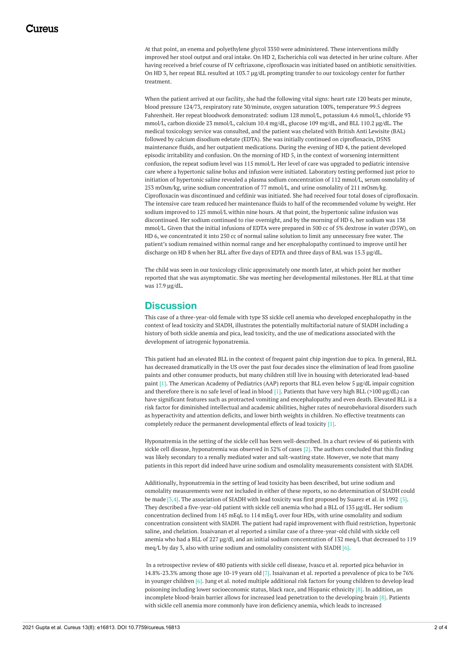At that point, an enema and polyethylene glycol 3350 were administered. These interventions mildly improved her stool output and oral intake. On HD 2, Escherichia coli was detected in her urine culture. After having received a brief course of IV ceftriaxone, ciprofloxacin was initiated based on antibiotic sensitivities. On HD 3, her repeat BLL resulted at 103.7 µg/dL prompting transfer to our toxicology center for further treatment.

When the patient arrived at our facility, she had the following vital signs: heart rate 120 beats per minute, blood pressure 124/73, respiratory rate 30/minute, oxygen saturation 100%, temperature 99.5 degrees Fahrenheit. Her repeat bloodwork demonstrated: sodium 128 mmol/L, potassium 4.6 mmol/L, chloride 93 mmol/L, carbon dioxide 23 mmol/L, calcium 10.4 mg/dL, glucose 109 mg/dL, and BLL 110.2 µg/dL. The medical toxicology service was consulted, and the patient was chelated with British Anti Lewisite (BAL) followed by calcium disodium edetate (EDTA). She was initially continued on ciprofloxacin, D5NS maintenance fluids, and her outpatient medications. During the evening of HD 4, the patient developed episodic irritability and confusion. On the morning of HD 5, in the context of worsening intermittent confusion, the repeat sodium level was 115 mmol/L. Her level of care was upgraded to pediatric intensive care where a hypertonic saline bolus and infusion were initiated. Laboratory testing performed just prior to initiation of hypertonic saline revealed a plasma sodium concentration of 112 mmol/L, serum osmolality of 253 mOsm/kg, urine sodium concentration of 77 mmol/L, and urine osmolality of 211 mOsm/kg. Ciprofloxacin was discontinued and cefdinir was initiated. She had received four total doses of ciprofloxacin. The intensive care team reduced her maintenance fluids to half of the recommended volume by weight. Her sodium improved to 125 mmol/L within nine hours. At that point, the hypertonic saline infusion was discontinued. Her sodium continued to rise overnight, and by the morning of HD 6, her sodium was 138 mmol/L. Given that the initial infusions of EDTA were prepared in 500 cc of 5% dextrose in water (D5W), on HD 6, we concentrated it into 250 cc of normal saline solution to limit any unnecessary free water. The patient's sodium remained within normal range and her encephalopathy continued to improve until her discharge on HD 8 when her BLL after five days of EDTA and three days of BAL was 15.3 µg/dL.

The child was seen in our toxicology clinic approximately one month later, at which point her mother reported that she was asymptomatic. She was meeting her developmental milestones. Her BLL at that time was 17.9 µg/dL.

### **Discussion**

This case of a three-year-old female with type SS sickle cell anemia who developed encephalopathy in the context of lead toxicity and SIADH, illustrates the potentially multifactorial nature of SIADH including a history of both sickle anemia and pica, lead toxicity, and the use of medications associated with the development of iatrogenic hyponatremia.

This patient had an elevated BLL in the context of frequent paint chip ingestion due to pica. In general, BLL has decreased dramatically in the US over the past four decades since the elimination of lead from gasoline paints and other consumer products, but many children still live in housing with deteriorated lead-based paint [1]. The American Academy of Pediatrics (AAP) reports that BLL even below 5 µg/dL impair cognition and therefore there is no safe level of lead in blood [1]. Patients that have very high BLL (>100 µg/dL) can have significant features such as protracted vomiting and encephalopathy and even death. Elevated BLL is a risk factor for diminished intellectual and academic abilities, higher rates of neurobehavioral disorders such as hyperactivity and attention deficits, and lower birth weights in children. No effective treatments can completely reduce the permanent developmental effects of lead toxicity [1].

Hyponatremia in the setting of the sickle cell has been well-described. In a chart review of 46 patients with sickle cell disease, hyponatremia was observed in 52% of cases [2]. The authors concluded that this finding was likely secondary to a renally mediated water and salt-wasting state. However, we note that many patients in this report did indeed have urine sodium and osmolality measurements consistent with SIADH.

Additionally, hyponatremia in the setting of lead toxicity has been described, but urine sodium and osmolality measurements were not included in either of these reports, so no determination of SIADH could be made [3,4]. The association of SIADH with lead toxicity was first proposed by Suarez et al. in 1992 [5]. They described a five-year-old patient with sickle cell anemia who had a BLL of 135 µg/dL. Her sodium concentration declined from 145 mEqL to 114 mEq/L over four HDs, with urine osmolality and sodium concentration consistent with SIADH. The patient had rapid improvement with fluid restriction, hypertonic saline, and chelation. Issaivanan et al reported a similar case of a three-year-old child with sickle cell anemia who had a BLL of 227 µg/dl, and an initial sodium concentration of 132 meq/L that decreased to 119 meq/L by day 3, also with urine sodium and osmolality consistent with SIADH [6].

In a retrospective review of 480 patients with sickle cell disease, Ivascu et al. reported pica behavior in 14.8%-23.3% among those age 10-19 years old [7]. Issaivanan et al. reported a prevalence of pica to be 76% in younger children [6]. Jung et al. noted multiple additional risk factors for young children to develop lead poisoning including lower socioeconomic status, black race, and Hispanic ethnicity [8]. In addition, an incomplete blood-brain barrier allows for increased lead penetration to the developing brain [8]. Patients with sickle cell anemia more commonly have iron deficiency anemia, which leads to increased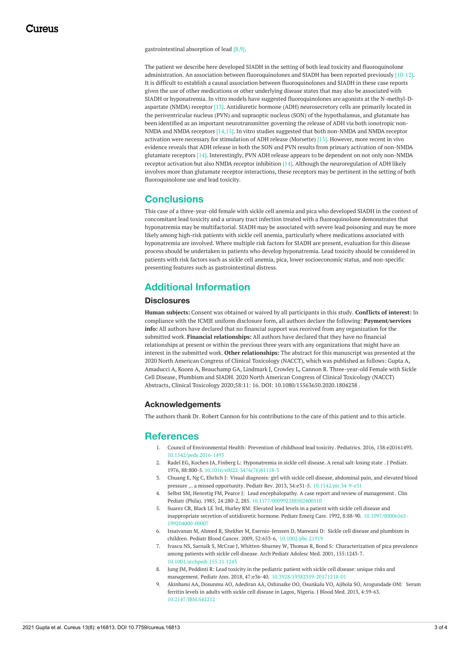gastrointestinal absorption of lead [8,9].

The patient we describe here developed SIADH in the setting of both lead toxicity and fluoroquinolone administration. An association between fluoroquinolones and SIADH has been reported previously [10-12]. It is difficult to establish a causal association between fluoroquinolones and SIADH in these case reports given the use of other medications or other underlying disease states that may also be associated with SIADH or hyponatremia. In vitro models have suggested fluoroquinolones are agonists at the N-methyl-Daspartate (NMDA) receptor [13]. Antidiuretic hormone (ADH) neurosecretory cells are primarily located in the periventricular nucleus (PVN) and supraoptic nucleus (SON) of the hypothalamus, and glutamate has been identified as an important neurotransmitter governing the release of ADH via both ionotropic non-NMDA and NMDA receptors [14,15]. In vitro studies suggested that both non-NMDA and NMDA receptor activation were necessary for stimulation of ADH release (Morsette) [15]. However, more recent in vivo evidence reveals that ADH release in both the SON and PVN results from primary activation of non-NMDA glutamate receptors [14]. Interestingly, PVN ADH release appears to be dependent on not only non-NMDA receptor activation but also NMDA receptor inhibition [14]. Although the neuroregulation of ADH likely involves more than glutamate receptor interactions, these receptors may be pertinent in the setting of both fluoroquinolone use and lead toxicity.

### **Conclusions**

This case of a three-year-old female with sickle cell anemia and pica who developed SIADH in the context of concomitant lead toxicity and a urinary tract infection treated with a fluoroquinolone demonstrates that hyponatremia may be multifactorial. SIADH may be associated with severe lead poisoning and may be more likely among high-risk patients with sickle cell anemia, particularly where medications associated with hyponatremia are involved. Where multiple risk factors for SIADH are present, evaluation for this disease process should be undertaken in patients who develop hyponatremia. Lead toxicity should be considered in patients with risk factors such as sickle cell anemia, pica, lower socioeconomic status, and non-specific presenting features such as gastrointestinal distress.

### **Additional Information**

#### **Disclosures**

**Human subjects:** Consent was obtained or waived by all participants in this study. **Conflicts of interest:** In compliance with the ICMJE uniform disclosure form, all authors declare the following: **Payment/services info:** All authors have declared that no financial support was received from any organization for the submitted work. **Financial relationships:** All authors have declared that they have no financial relationships at present or within the previous three years with any organizations that might have an interest in the submitted work. **Other relationships:** The abstract for this manuscript was presented at the 2020 North American Congress of Clinical Toxicology (NACCT), which was published as follows: Gupta A, Amaducci A, Koons A, Beauchamp GA, Lindmark J, Crowley L, Cannon R. Three-year-old Female with Sickle Cell Disease, Plumbism and SIADH. 2020 North American Congress of Clinical Toxicology (NACCT) Abstracts, Clinical Toxicology 2020;58:11: 16. DOI: 10.1080/15563650.2020.1804238 .

#### **Acknowledgements**

The authors thank Dr. Robert Cannon for his contributions to the care of this patient and to this article.

### **References**

- 1. Council of Environmental Health: [Prevention](https://dx.doi.org/10.1542/peds.2016-1493) of childhood lead toxicity. Pediatrics. 2016, 138:e20161493. [10.1542/peds.2016-1493](https://dx.doi.org/10.1542/peds.2016-1493)
- 2. Radel EG, Kochen JA, Finberg L: [Hyponatremia](https://dx.doi.org/10.1016/s0022-3476(76)81118-3) in sickle cell disease. A renal salt-losing state . J Pediatr. 1976, 88:800-5. [10.1016/s0022-3476\(76\)81118-3](https://dx.doi.org/10.1016/s0022-3476(76)81118-3)
- 3. Chuang E, Ng C, Ehrlich J: Visual diagnosis: girl with sickle cell disease, abdominal pain, and elevated blood pressure ... a missed opportunity. Pediatr Rev. 2013, 34:e31-5. [10.1542/pir.34-9-e31](https://dx.doi.org/10.1542/pir.34-9-e31)
- 4. Selbst SM, Henretig FM, Pearce J: Lead [encephalopathy.](https://dx.doi.org/10.1177/000992288502400510) A case report and review of management . Clin Pediatr (Phila). 1985, 24:280-2, 285. [10.1177/000992288502400510](https://dx.doi.org/10.1177/000992288502400510)
- 5. Suarez CR, Black LE 3rd, Hurley RM: Elevated lead levels in a patient with sickle cell disease and [inappropriate](https://dx.doi.org/10.1097/00006565-199204000-00007) secretion of antidiuretic hormone. Pediatr Emerg Care. 1992, 8:88-90. [10.1097/00006565-](https://dx.doi.org/10.1097/00006565-199204000-00007) 199204000-00007
- 6. Issaivanan M, Ahmed R, Shekher M, Esernio-Jenssen D, Manwani D: Sickle cell disease and plumbism in children. Pediatr Blood Cancer. 2009, 52:653-6. [10.1002/pbc.21919](https://dx.doi.org/10.1002/pbc.21919)
- 7. Ivascu NS, Sarnaik S, McCrae J, [Whitten-Shurney](https://dx.doi.org/10.1001/archpedi.155.11.1243) W, Thomas R, Bond S: Characterization of pica prevalence among patients with sickle cell disease. Arch Pediatr Adolesc Med. 2001, 155:1243-7. [10.1001/archpedi.155.11.1243](https://dx.doi.org/10.1001/archpedi.155.11.1243)
- 8. Jung JM, Peddinti R: Lead toxicity in the pediatric patient with sickle cell disease: unique risks and management. Pediatr Ann. 2018, 47:e36-40. [10.3928/19382359-20171218-01](https://dx.doi.org/10.3928/19382359-20171218-01)
- 9. Akinbami AA, Dosunmu AO, Adediran AA, Oshinaike OO, Osunkalu VO, Ajibola SO, [Arogundade](https://dx.doi.org/10.2147/JBM.S42212) OM: Serum ferritin levels in adults with sickle cell disease in Lagos, Nigeria. J Blood Med. 2013, 4:59-63. [10.2147/JBM.S42212](https://dx.doi.org/10.2147/JBM.S42212)